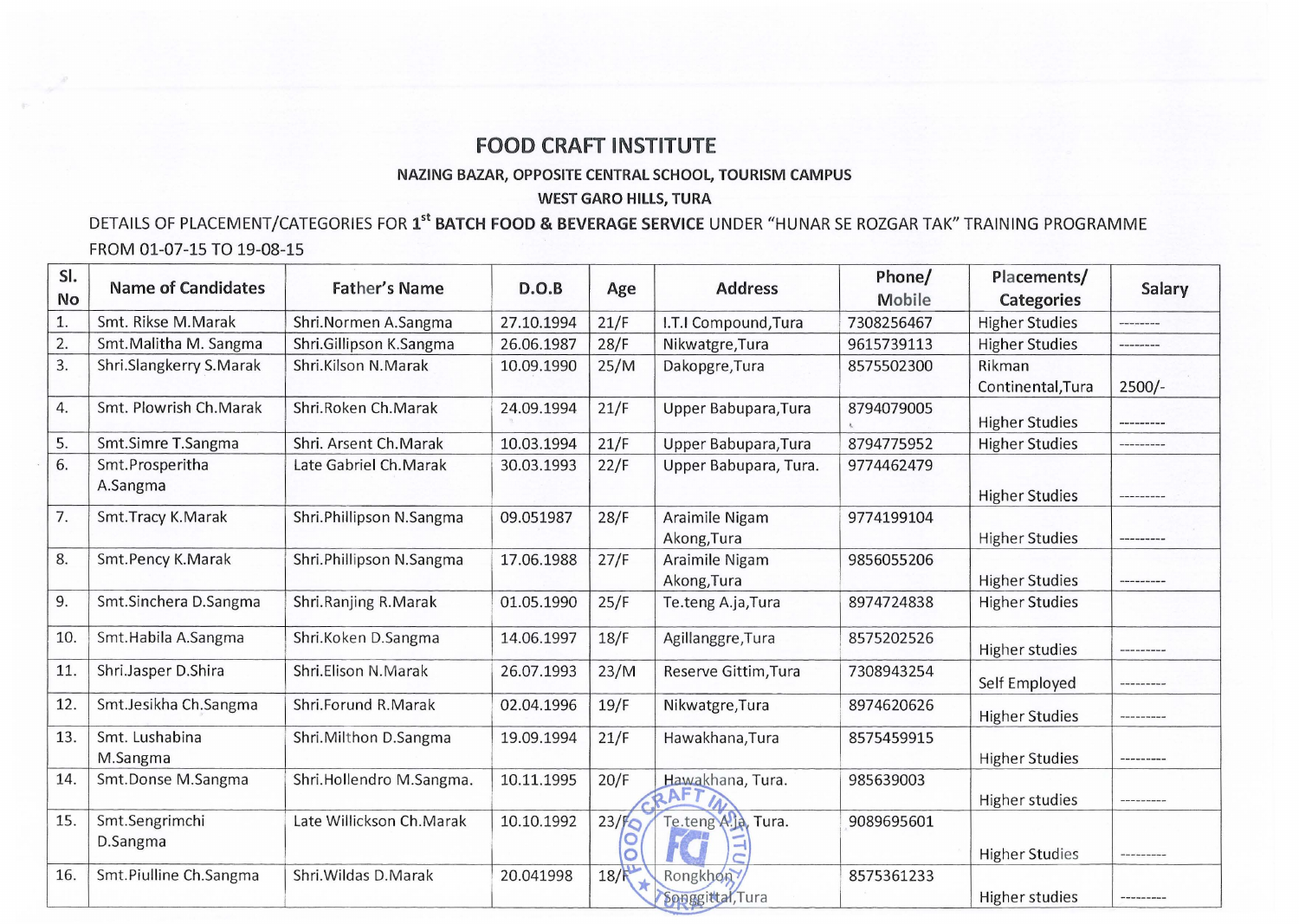## **FOOD CRAFT INSTITUTE**

NAZING BAZAR, OPPOSITE CENTRAL SCHOOL, TOURISM CAMPUS

## WEST GARO HILLS, TURA

## DETAILS OF PLACEMENT/CATEGORIES FOR 1<sup>st</sup> BATCH FOOD & BEVERAGE SERVICE UNDER "HUNAR SE ROZGAR TAK" TRAINING PROGRAMME FROM 01-07-15 TO 19-08-15

| SI.       | <b>Name of Candidates</b> | <b>Father's Name</b>     | D.O.B      |                   | <b>Address</b>        | Phone/        | Placements/           |             |
|-----------|---------------------------|--------------------------|------------|-------------------|-----------------------|---------------|-----------------------|-------------|
| <b>No</b> |                           |                          |            | Age               |                       | <b>Mobile</b> | <b>Categories</b>     | Salary      |
| 1.        | Smt. Rikse M.Marak        | Shri.Normen A.Sangma     | 27.10.1994 | 21/F              | I.T.I Compound, Tura  | 7308256467    | <b>Higher Studies</b> | ---------   |
| 2.        | Smt. Malitha M. Sangma    | Shri.Gillipson K.Sangma  | 26.06.1987 | 28/F              | Nikwatgre, Tura       | 9615739113    | <b>Higher Studies</b> | ---------   |
| 3.        | Shri.Slangkerry S.Marak   | Shri.Kilson N.Marak      | 10.09.1990 | 25/M              | Dakopgre, Tura        | 8575502300    | Rikman                |             |
|           |                           |                          |            |                   |                       |               | Continental, Tura     | $2500/-$    |
| 4.        | Smt. Plowrish Ch. Marak   | Shri.Roken Ch.Marak      | 24.09.1994 | 21/F              | Upper Babupara, Tura  | 8794079005    | <b>Higher Studies</b> | ---------   |
| 5.        | Smt.Simre T.Sangma        | Shri. Arsent Ch.Marak    | 10.03.1994 | 21/F              | Upper Babupara, Tura  | 8794775952    | <b>Higher Studies</b> | ----------  |
| 6.        | Smt.Prosperitha           | Late Gabriel Ch. Marak   | 30.03.1993 | 22/F              | Upper Babupara, Tura. | 9774462479    |                       |             |
|           | A.Sangma                  |                          |            |                   |                       |               | <b>Higher Studies</b> | ---------   |
| 7.        | Smt.Tracy K.Marak         | Shri.Phillipson N.Sangma | 09.051987  | 28/F              | Araimile Nigam        | 9774199104    |                       |             |
|           |                           |                          |            |                   | Akong, Tura           |               | <b>Higher Studies</b> | ----------- |
| 8.        | Smt.Pency K.Marak         | Shri.Phillipson N.Sangma | 17.06.1988 | 27/F              | Araimile Nigam        | 9856055206    |                       |             |
|           |                           |                          |            |                   | Akong, Tura           |               | <b>Higher Studies</b> | ---------   |
| 9.        | Smt.Sinchera D.Sangma     | Shri.Ranjing R.Marak     | 01.05.1990 | 25/F              | Te.teng A.ja, Tura    | 8974724838    | <b>Higher Studies</b> |             |
| 10.       | Smt.Habila A.Sangma       | Shri.Koken D.Sangma      | 14.06.1997 | 18/F              | Agillanggre, Tura     | 8575202526    | <b>Higher studies</b> | ---------   |
| 11.       | Shri.Jasper D.Shira       | Shri.Elison N.Marak      | 26.07.1993 | 23/M              | Reserve Gittim, Tura  | 7308943254    | Self Employed         | ---------   |
| 12.       | Smt.Jesikha Ch.Sangma     | Shri.Forund R.Marak      | 02.04.1996 | 19/F              | Nikwatgre, Tura       | 8974620626    | <b>Higher Studies</b> | ----------  |
| 13.       | Smt. Lushabina            | Shri. Milthon D. Sangma  | 19.09.1994 | 21/F              | Hawakhana, Tura       | 8575459915    |                       |             |
|           | M.Sangma                  |                          |            |                   |                       |               | <b>Higher Studies</b> | --------    |
| 14.       | Smt.Donse M.Sangma        | Shri.Hollendro M.Sangma. | 10.11.1995 | 20/F              | Hawakhana, Tura.      | 985639003     |                       |             |
|           |                           |                          |            |                   | $2$ Ar                |               | <b>Higher studies</b> | ---------   |
| 15.       | Smt.Sengrimchi            | Late Willickson Ch.Marak | 10.10.1992 | 23/f <sub>o</sub> | Te.teng A.Ja, Tura.   | 9089695601    |                       |             |
|           | D.Sangma                  |                          |            |                   |                       |               | <b>Higher Studies</b> | --------    |
| 16.       | Smt.Piulline Ch.Sangma    | Shri. Wildas D. Marak    | 20.041998  | 18/               | Rongkhon              | 8575361233    |                       |             |
|           |                           |                          |            |                   | Songgittal, Tura      |               | <b>Higher studies</b> |             |